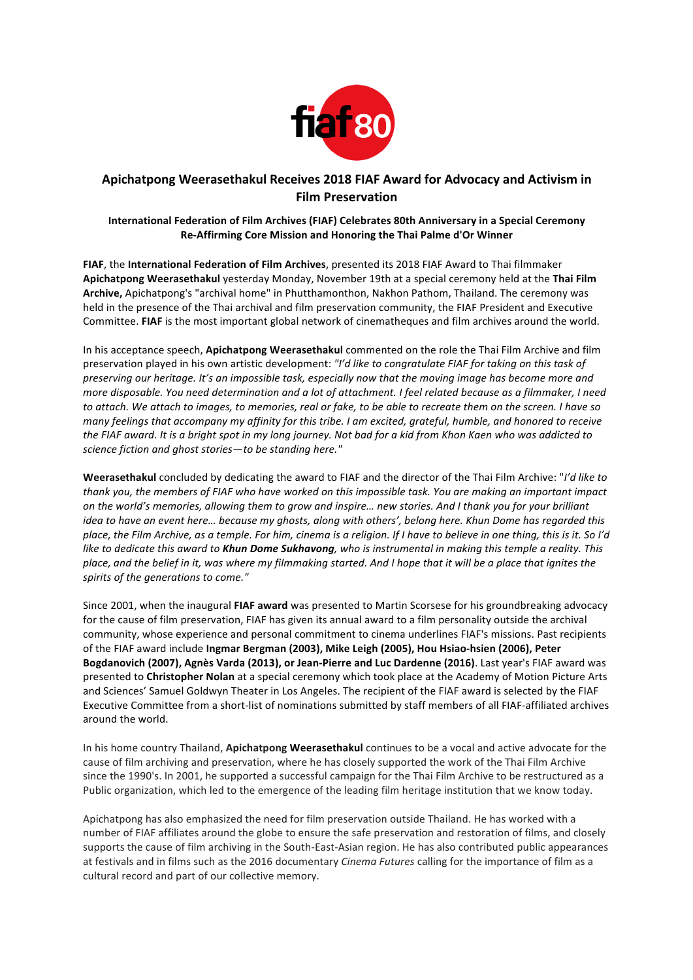

## **Apichatpong Weerasethakul Receives 2018 FIAF Award for Advocacy and Activism in Film Preservation**

## **International Federation of Film Archives (FIAF) Celebrates 80th Anniversary in a Special Ceremony Re-Affirming Core Mission and Honoring the Thai Palme d'Or Winner**

**FIAF**, the International Federation of Film Archives, presented its 2018 FIAF Award to Thai filmmaker Apichatpong Weerasethakul yesterday Monday, November 19th at a special ceremony held at the Thai Film Archive, Apichatpong's "archival home" in Phutthamonthon, Nakhon Pathom, Thailand. The ceremony was held in the presence of the Thai archival and film preservation community, the FIAF President and Executive Committee. FIAF is the most important global network of cinematheques and film archives around the world.

In his acceptance speech, **Apichatpong Weerasethakul** commented on the role the Thai Film Archive and film preservation played in his own artistic development: "I'd like to congratulate FIAF for taking on this task of preserving our heritage. It's an impossible task, especially now that the moving image has become more and *more disposable. You need determination and a lot of attachment. I feel related because as a filmmaker, I need* to attach. We attach to images, to memories, real or fake, to be able to recreate them on the screen. I have so *many* feelings that accompany my affinity for this tribe. I am excited, grateful, humble, and honored to receive the FIAF award. It is a bright spot in my long journey. Not bad for a kid from Khon Kaen who was addicted to science fiction and ghost stories-to be standing here."

Weerasethakul concluded by dedicating the award to FIAF and the director of the Thai Film Archive: "I'd like to thank you, the members of FIAF who have worked on this *impossible* task. You are making an important *impact* on the world's memories, allowing them to grow and inspire... new stories. And I thank you for your brilliant *idea* to have an event here... because my ghosts, along with others', belong here. Khun Dome has regarded this place, the Film Archive, as a temple. For him, cinema is a religion. If I have to believe in one thing, this is it. So I'd *like* to dedicate this award to **Khun Dome Sukhavong**, who is instrumental in making this temple a reality. This *place, and the belief in it, was where my filmmaking started. And I hope that it will be a place that ignites the* spirits of the generations to come."

Since 2001, when the inaugural FIAF award was presented to Martin Scorsese for his groundbreaking advocacy for the cause of film preservation, FIAF has given its annual award to a film personality outside the archival community, whose experience and personal commitment to cinema underlines FIAF's missions. Past recipients of the FIAF award include **Ingmar Bergman (2003), Mike Leigh (2005), Hou Hsiao-hsien (2006), Peter** Bogdanovich (2007), Agnès Varda (2013), or Jean-Pierre and Luc Dardenne (2016). Last year's FIAF award was presented to Christopher Nolan at a special ceremony which took place at the Academy of Motion Picture Arts and Sciences' Samuel Goldwyn Theater in Los Angeles. The recipient of the FIAF award is selected by the FIAF Executive Committee from a short-list of nominations submitted by staff members of all FIAF-affiliated archives around the world.

In his home country Thailand, **Apichatpong Weerasethakul** continues to be a vocal and active advocate for the cause of film archiving and preservation, where he has closely supported the work of the Thai Film Archive since the 1990's. In 2001, he supported a successful campaign for the Thai Film Archive to be restructured as a Public organization, which led to the emergence of the leading film heritage institution that we know today.

Apichatpong has also emphasized the need for film preservation outside Thailand. He has worked with a number of FIAF affiliates around the globe to ensure the safe preservation and restoration of films, and closely supports the cause of film archiving in the South-East-Asian region. He has also contributed public appearances at festivals and in films such as the 2016 documentary *Cinema Futures* calling for the importance of film as a cultural record and part of our collective memory.